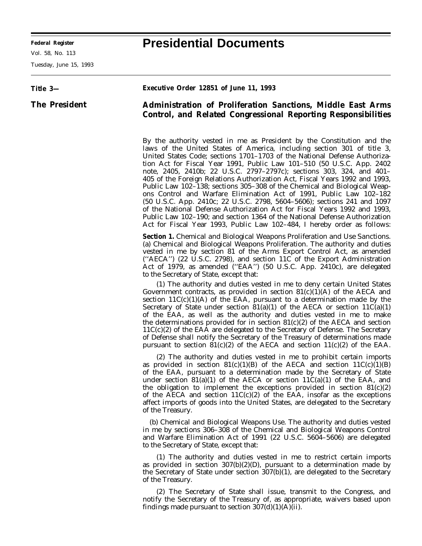Vol. 58, No. 113

Tuesday, June 15, 1993

## **Federal Register Presidential Documents**

| Title 3-             | Executive Order 12851 of June 11, 1993                                                                                                                                                                                                                                                                                                                                                                                                                                                                                                                                                                                                                                                                                                                                                                                                                                                                                                   |
|----------------------|------------------------------------------------------------------------------------------------------------------------------------------------------------------------------------------------------------------------------------------------------------------------------------------------------------------------------------------------------------------------------------------------------------------------------------------------------------------------------------------------------------------------------------------------------------------------------------------------------------------------------------------------------------------------------------------------------------------------------------------------------------------------------------------------------------------------------------------------------------------------------------------------------------------------------------------|
| <b>The President</b> | <b>Administration of Proliferation Sanctions, Middle East Arms</b><br><b>Control, and Related Congressional Reporting Responsibilities</b>                                                                                                                                                                                                                                                                                                                                                                                                                                                                                                                                                                                                                                                                                                                                                                                               |
|                      | By the authority vested in me as President by the Constitution and the<br>laws of the United States of America, including section 301 of title 3,<br>United States Code; sections 1701–1703 of the National Defense Authoriza-<br>tion Act for Fiscal Year 1991, Public Law 101-510 (50 U.S.C. App. 2402)<br>note, 2405, 2410b; 22 U.S.C. 2797-2797c); sections 303, 324, and 401-<br>405 of the Foreign Relations Authorization Act, Fiscal Years 1992 and 1993,<br>Public Law 102–138; sections 305–308 of the Chemical and Biological Weap-<br>ons Control and Warfare Elimination Act of 1991, Public Law 102-182<br>(50 U.S.C. App. 2410c; 22 U.S.C. 2798, 5604–5606); sections 241 and 1097<br>of the National Defense Authorization Act for Fiscal Years 1992 and 1993,<br>Public Law 102-190; and section 1364 of the National Defense Authorization<br>Act for Fiscal Year 1993, Public Law 102-484, I hereby order as follows: |
|                      | <b>Section 1.</b> Chemical and Biological Weapons Proliferation and Use Sanctions.<br>(a) Chemical and Biological Weapons Proliferation. The authority and duties<br>vested in me by section 81 of the Arms Export Control Act, as amended<br>("AECA") (22 U.S.C. 2798), and section 11C of the Export Administration<br>Act of 1979, as amended ("EAA") (50 U.S.C. App. 2410c), are delegated<br>to the Secretary of State, except that:                                                                                                                                                                                                                                                                                                                                                                                                                                                                                                |
|                      | (1) The authority and duties vested in me to deny certain United States<br>Government contracts, as provided in section $81(c)(1)(A)$ of the AECA and<br>section $11C(c)(1)(A)$ of the EAA, pursuant to a determination made by the<br>Secretary of State under section $81(a)(1)$ of the AECA or section $11C(a)(1)$<br>of the EAA, as well as the authority and duties vested in me to make<br>the determinations provided for in section $81(c)(2)$ of the AECA and section<br>$11C(c)(2)$ of the EAA are delegated to the Secretary of Defense. The Secretary<br>of Defense shall notify the Secretary of the Treasury of determinations made<br>pursuant to section $81(c)(2)$ of the AECA and section $11(c)(2)$ of the EAA.                                                                                                                                                                                                       |
|                      | (2) The authority and duties vested in me to prohibit certain imports<br>as provided in section $81(c)(1)(B)$ of the AECA and section $11C(c)(1)(B)$<br>of the EAA, pursuant to a determination made by the Secretary of State<br>under section 81(a)(1) of the AECA or section 11 $C(a)(1)$ of the EAA, and<br>the obligation to implement the exceptions provided in section $81(c)(2)$<br>of the AECA and section $11C(c)(2)$ of the EAA, insofar as the exceptions<br>affect imports of goods into the United States, are delegated to the Secretary<br>of the Treasury.                                                                                                                                                                                                                                                                                                                                                             |
|                      | (b) Chemical and Biological Weapons Use. The authority and duties vested<br>in me by sections 306–308 of the Chemical and Biological Weapons Control<br>and Warfare Elimination Act of 1991 (22 U.S.C. 5604-5606) are delegated<br>to the Secretary of State, except that:                                                                                                                                                                                                                                                                                                                                                                                                                                                                                                                                                                                                                                                               |
|                      | (1) The authority and duties vested in me to restrict certain imports<br>as provided in section $307(b)(2)(D)$ , pursuant to a determination made by<br>the Secretary of State under section 307(b)(1), are delegated to the Secretary<br>of the Treasury.                                                                                                                                                                                                                                                                                                                                                                                                                                                                                                                                                                                                                                                                               |
|                      | (2) The Secretary of State shall issue, transmit to the Congress, and<br>notify the Secretary of the Treasury of, as appropriate, waivers based upon<br>findings made pursuant to section $307(d)(1)(A)(ii)$ .                                                                                                                                                                                                                                                                                                                                                                                                                                                                                                                                                                                                                                                                                                                           |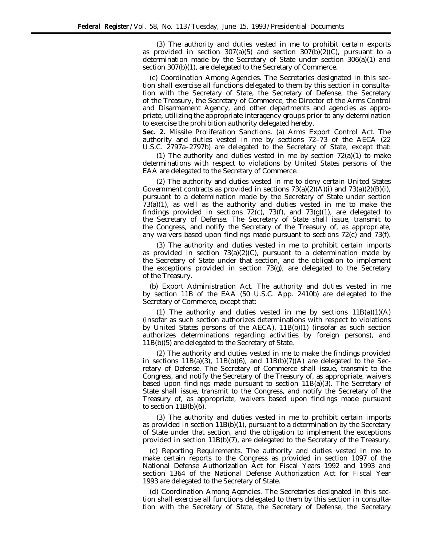(3) The authority and duties vested in me to prohibit certain exports as provided in section  $307(a)(5)$  and section  $307(b)(2)(C)$ , pursuant to a determination made by the Secretary of State under section 306(a)(1) and section 307(b)(1), are delegated to the Secretary of Commerce.

(c) *Coordination Among Agencies.* The Secretaries designated in this section shall exercise all functions delegated to them by this section in consultation with the Secretary of State, the Secretary of Defense, the Secretary of the Treasury, the Secretary of Commerce, the Director of the Arms Control and Disarmament Agency, and other departments and agencies as appropriate, utilizing the appropriate interagency groups prior to any determination to exercise the prohibition authority delegated hereby.

**Sec. 2.** *Missile Proliferation Sanctions.* (a) *Arms Export Control Act.* The authority and duties vested in me by sections 72–73 of the AECA (22 U.S.C. 2797a–2797b) are delegated to the Secretary of State, except that:

(1) The authority and duties vested in me by section  $72(a)(1)$  to make determinations with respect to violations by United States persons of the EAA are delegated to the Secretary of Commerce.

(2) The authority and duties vested in me to deny certain United States Government contracts as provided in sections  $73(a)(2)(A)(i)$  and  $73(a)(2)(B)(i)$ , pursuant to a determination made by the Secretary of State under section 73(a)(1), as well as the authority and duties vested in me to make the findings provided in sections  $72(c)$ ,  $73(f)$ , and  $73(g)(1)$ , are delegated to the Secretary of Defense. The Secretary of State shall issue, transmit to the Congress, and notify the Secretary of the Treasury of, as appropriate, any waivers based upon findings made pursuant to sections 72(c) and 73(f).

(3) The authority and duties vested in me to prohibit certain imports as provided in section  $73(a)(2)(C)$ , pursuant to a determination made by the Secretary of State under that section, and the obligation to implement the exceptions provided in section 73(g), are delegated to the Secretary of the Treasury.

(b) *Export Administration Act.* The authority and duties vested in me by section 11B of the EAA (50 U.S.C. App. 2410b) are delegated to the Secretary of Commerce, except that:

(1) The authority and duties vested in me by sections  $11B(a)(1)(A)$ (insofar as such section authorizes determinations with respect to violations by United States persons of the AECA), 11B(b)(1) (insofar as such section authorizes determinations regarding activities by foreign persons), and 11B(b)(5) are delegated to the Secretary of State.

(2) The authority and duties vested in me to make the findings provided in sections  $11B(a)(3)$ ,  $11B(b)(6)$ , and  $11B(b)(7)(A)$  are delegated to the Secretary of Defense. The Secretary of Commerce shall issue, transmit to the Congress, and notify the Secretary of the Treasury of, as appropriate, waivers based upon findings made pursuant to section  $11B(a)(3)$ . The Secretary of State shall issue, transmit to the Congress, and notify the Secretary of the Treasury of, as appropriate, waivers based upon findings made pursuant to section  $11B(b)(6)$ .

(3) The authority and duties vested in me to prohibit certain imports as provided in section  $11B(b)(1)$ , pursuant to a determination by the Secretary of State under that section, and the obligation to implement the exceptions provided in section 11B(b)(7), are delegated to the Secretary of the Treasury.

(c) *Reporting Requirements.* The authority and duties vested in me to make certain reports to the Congress as provided in section 1097 of the National Defense Authorization Act for Fiscal Years 1992 and 1993 and section 1364 of the National Defense Authorization Act for Fiscal Year 1993 are delegated to the Secretary of State.

(d) *Coordination Among Agencies.* The Secretaries designated in this section shall exercise all functions delegated to them by this section in consultation with the Secretary of State, the Secretary of Defense, the Secretary